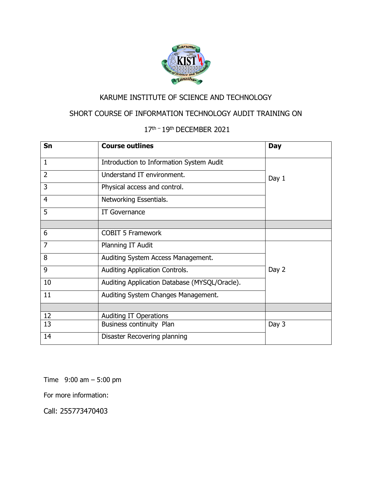

## KARUME INSTITUTE OF SCIENCE AND TECHNOLOGY

# SHORT COURSE OF INFORMATION TECHNOLOGY AUDIT TRAINING ON

#### th – 19th DECEMBER 2021

| Sn             | <b>Course outlines</b>                        | <b>Day</b> |
|----------------|-----------------------------------------------|------------|
| 1              | Introduction to Information System Audit      |            |
| 2              | Understand IT environment.                    | Day 1      |
| 3              | Physical access and control.                  |            |
| $\overline{4}$ | Networking Essentials.                        |            |
| 5              | IT Governance                                 |            |
|                |                                               |            |
| 6              | <b>COBIT 5 Framework</b>                      |            |
| $\overline{7}$ | Planning IT Audit                             |            |
| 8              | Auditing System Access Management.            |            |
| 9              | Auditing Application Controls.                | Day 2      |
| 10             | Auditing Application Database (MYSQL/Oracle). |            |
| 11             | Auditing System Changes Management.           |            |
|                |                                               |            |
| 12             | <b>Auditing IT Operations</b>                 |            |
| 13             | Business continuity Plan                      | Day 3      |
| 14             | Disaster Recovering planning                  |            |

Time 9:00 am – 5:00 pm

For more information:

Call: 255773470403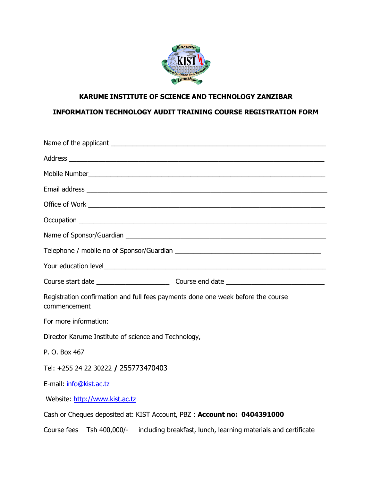

## **KARUME INSTITUTE OF SCIENCE AND TECHNOLOGY ZANZIBAR**

#### **INFORMATION TECHNOLOGY AUDIT TRAINING COURSE REGISTRATION FORM**

| Registration confirmation and full fees payments done one week before the course<br>commencement |  |  |  |
|--------------------------------------------------------------------------------------------------|--|--|--|
| For more information:                                                                            |  |  |  |
| Director Karume Institute of science and Technology,                                             |  |  |  |
| P. O. Box 467                                                                                    |  |  |  |
| Tel: +255 24 22 30222 / 255773470403                                                             |  |  |  |
| E-mail: info@kist.ac.tz                                                                          |  |  |  |
| Website: http://www.kist.ac.tz                                                                   |  |  |  |
| Cash or Cheques deposited at: KIST Account, PBZ: Account no: 0404391000                          |  |  |  |
| Course fees Tsh 400,000/- including breakfast, lunch, learning materials and certificate         |  |  |  |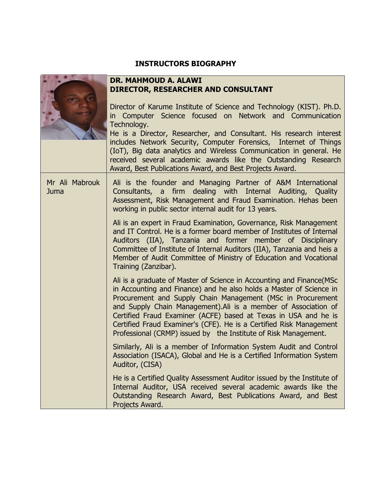#### **INSTRUCTORS BIOGRAPHY**

|                        | DR. MAHMOUD A. ALAWI<br>DIRECTOR, RESEARCHER AND CONSULTANT<br>Director of Karume Institute of Science and Technology (KIST). Ph.D.<br>in Computer Science focused on Network and Communication<br>Technology.<br>He is a Director, Researcher, and Consultant. His research interest<br>includes Network Security, Computer Forensics, Internet of Things<br>(IoT), Big data analytics and Wireless Communication in general. He                                                          |
|------------------------|--------------------------------------------------------------------------------------------------------------------------------------------------------------------------------------------------------------------------------------------------------------------------------------------------------------------------------------------------------------------------------------------------------------------------------------------------------------------------------------------|
| Mr Ali Mabrouk<br>Juma | received several academic awards like the Outstanding Research<br>Award, Best Publications Award, and Best Projects Award.<br>Ali is the founder and Managing Partner of A&M International<br>Consultants, a firm dealing with Internal Auditing, Quality                                                                                                                                                                                                                                  |
|                        | Assessment, Risk Management and Fraud Examination. Hehas been<br>working in public sector internal audit for 13 years.<br>Ali is an expert in Fraud Examination, Governance, Risk Management                                                                                                                                                                                                                                                                                               |
|                        | and IT Control. He is a former board member of Institutes of Internal<br>Auditors (IIA), Tanzania and former member of Disciplinary<br>Committee of Institute of Internal Auditors (IIA), Tanzania and heis a<br>Member of Audit Committee of Ministry of Education and Vocational<br>Training (Zanzibar).                                                                                                                                                                                 |
|                        | Ali is a graduate of Master of Science in Accounting and Finance(MSc<br>in Accounting and Finance) and he also holds a Master of Science in<br>Procurement and Supply Chain Management (MSc in Procurement<br>and Supply Chain Management). Ali is a member of Association of<br>Certified Fraud Examiner (ACFE) based at Texas in USA and he is<br>Certified Fraud Examiner's (CFE). He is a Certified Risk Management<br>Professional (CRMP) issued by the Institute of Risk Management. |
|                        | Similarly, Ali is a member of Information System Audit and Control<br>Association (ISACA), Global and He is a Certified Information System<br>Auditor, (CISA)                                                                                                                                                                                                                                                                                                                              |
|                        | He is a Certified Quality Assessment Auditor issued by the Institute of<br>Internal Auditor, USA received several academic awards like the<br>Outstanding Research Award, Best Publications Award, and Best<br>Projects Award.                                                                                                                                                                                                                                                             |